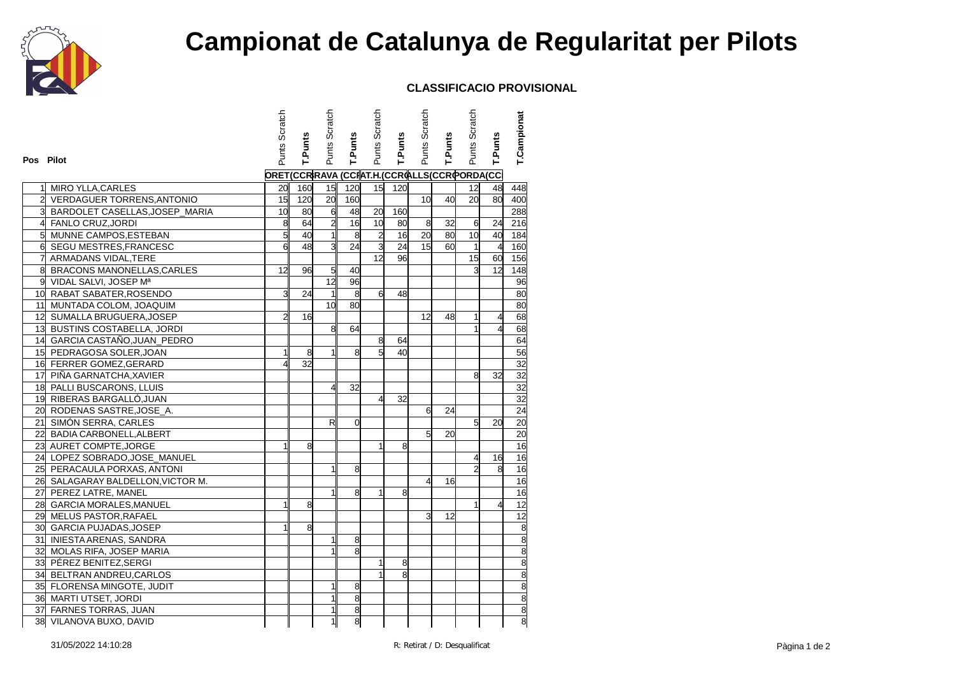

## **Campionat de Catalunya de Regularitat per Pilots**

## **CLASSIFICACIO PROVISIONAL**

|                |                                   | Punts Scratch  |         | Punts Scratch  |                                            | Punts Scratch  |         | Punts Scratch   |                | Punts Scratch   |                          | T.Campionat     |
|----------------|-----------------------------------|----------------|---------|----------------|--------------------------------------------|----------------|---------|-----------------|----------------|-----------------|--------------------------|-----------------|
|                |                                   |                |         |                |                                            |                |         |                 |                |                 |                          |                 |
| Pos Pilot      |                                   |                | T.Punts |                | T.Punts                                    |                | T.Punts |                 | <b>T.Punts</b> |                 | T.Punts                  |                 |
|                |                                   |                |         |                | ORET(CCRRAVA (CCRAT.H.(CCROLLS(CCROORDA(CC |                |         |                 |                |                 |                          |                 |
| 11             | MIRO YLLA, CARLES                 | 20             | 160     |                | 15 120                                     | 15             | 120     |                 |                | 12 <sup>1</sup> | 48                       | 448             |
| $\overline{2}$ | <b>VERDAGUER TORRENS, ANTONIO</b> | 15             | 120     | 20             | 160                                        |                |         | 10 <sup>1</sup> | 40             | $\overline{20}$ | 80                       | 400             |
| 3              | BARDOLET CASELLAS, JOSEP_MARIA    | 10             | 80      | $\mathbf{d}$   | 48                                         | 20             | 160     |                 |                |                 |                          | 288             |
| 4              | <b>FANLO CRUZ, JORDI</b>          | $\overline{8}$ | 64      | $\overline{2}$ | 16                                         | 10             | 80      | 8               | 32             | 6               | 24                       | 216             |
| 5 <sup>1</sup> | MUNNE CAMPOS, ESTEBAN             | $\overline{5}$ | 40      | $\mathbf{1}$   | $\boldsymbol{8}$                           | $\overline{2}$ | 16      | 20              | 80             | 10              | 40                       | 184             |
| $\mathsf{d}$   | SEGU MESTRES, FRANCESC            | 6              | 48      | $\overline{3}$ | 24                                         | $\overline{3}$ | 24      | 15 <sup>1</sup> | 60             | 1               | $\overline{4}$           | 160             |
| 7              | ARMADANS VIDAL, TERE              |                |         |                |                                            | 12             | 96      |                 |                | $\overline{15}$ | 60                       | 156             |
| 8              | BRACONS MANONELLAS, CARLES        | 12             | 96      | 5 <sup>1</sup> | 40                                         |                |         |                 |                | Э               | 12                       | 148             |
|                | 9 VIDAL SALVI, JOSEP Mª           |                |         | 12             | 96                                         |                |         |                 |                |                 |                          | 96              |
|                | 10 RABAT SABATER, ROSENDO         | 3              | 24      | 1              | 8                                          | 6              | 48      |                 |                |                 |                          | 80              |
|                | 11 MUNTADA COLOM, JOAQUIM         |                |         | 10             | 80                                         |                |         |                 |                |                 |                          | 80              |
|                | 12 SUMALLA BRUGUERA, JOSEP        | $\overline{2}$ | 16      |                |                                            |                |         | 12              | 48             | $\mathbf{1}$    | 4                        | 68              |
|                | 13 BUSTINS COSTABELLA, JORDI      |                |         | 8              | 64                                         |                |         |                 |                | $\mathbf{1}$    | $\overline{\mathcal{A}}$ | 68              |
|                | 14 GARCIA CASTAÑO, JUAN_PEDRO     |                |         |                |                                            | 8              | 64      |                 |                |                 |                          | 64              |
|                | 15 PEDRAGOSA SOLER, JOAN          | $\mathbf{1}$   | 8       | $\mathbf{1}$   | 8                                          | $\overline{5}$ | 40      |                 |                |                 |                          | 56              |
|                | 16 FERRER GOMEZ, GERARD           | 4              | 32      |                |                                            |                |         |                 |                |                 |                          | 32              |
|                | 17 PIÑA GARNATCHA, XAVIER         |                |         |                |                                            |                |         |                 |                | 8               | 32                       | 32              |
|                | 18 PALLI BUSCARONS, LLUIS         |                |         | 41             | 32                                         |                |         |                 |                |                 |                          | 32              |
|                | 19 RIBERAS BARGALLÓ, JUAN         |                |         |                |                                            | 4              | 32      |                 |                |                 |                          | 32              |
|                | 20 RODENAS SASTRE, JOSE_A.        |                |         |                |                                            |                |         | 6               | 24             |                 |                          | 24              |
|                | 21 SIMÓN SERRA, CARLES            |                |         | R              | $\Omega$                                   |                |         |                 |                | $5\overline{1}$ | 20                       | 20              |
|                | 22 BADIA CARBONELL, ALBERT        |                |         |                |                                            |                |         | $5\overline{5}$ | 20             |                 |                          | $\overline{20}$ |
|                | 23 AURET COMPTE, JORGE            | $\mathbf{1}$   | 8       |                |                                            | $\mathbf{1}$   | 8       |                 |                |                 |                          | 16              |
|                | 24 LOPEZ SOBRADO, JOSE_MANUEL     |                |         |                |                                            |                |         |                 |                | 4               | 16                       | 16              |
|                | 25 PERACAULA PORXAS, ANTONI       |                |         | $\mathbf{1}$   | 8                                          |                |         |                 |                | $\overline{2}$  | 8                        | 16              |
|                | 26 SALAGARAY BALDELLON, VICTOR M. |                |         |                |                                            |                |         | $\overline{4}$  | 16             |                 |                          | 16              |
|                | 27 PEREZ LATRE, MANEL             |                |         |                | 8                                          | 1              | 8       |                 |                |                 |                          | 16              |
|                | 28 GARCIA MORALES, MANUEL         | $\mathbf{1}$   | 8       |                |                                            |                |         |                 |                | $\mathbf{1}$    | 4                        | $\overline{12}$ |
|                | 29 MELUS PASTOR, RAFAEL           |                |         |                |                                            |                |         | 3               | 12             |                 |                          | 12              |
|                | 30 GARCIA PUJADAS, JOSEP          | $\mathbf{1}$   | 8       |                |                                            |                |         |                 |                |                 |                          | $\overline{8}$  |
|                | 31 INIESTA ARENAS, SANDRA         |                |         |                | 8                                          |                |         |                 |                |                 |                          | 8               |
|                | 32 MOLAS RIFA, JOSEP MARIA        |                |         |                | 8                                          |                |         |                 |                |                 |                          | $\overline{8}$  |
|                | 33 PÉREZ BENITEZ, SERGI           |                |         |                |                                            | $\mathbf{1}$   | 8       |                 |                |                 |                          | 8               |
|                | 34 BELTRAN ANDREU, CARLOS         |                |         |                |                                            | $\mathbf{1}$   | 8       |                 |                |                 |                          | $\overline{8}$  |
|                | 35 FLORENSA MINGOTE, JUDIT        |                |         |                | 8                                          |                |         |                 |                |                 |                          | 8               |
|                | 36 MARTI UTSET, JORDI             |                |         |                | 8                                          |                |         |                 |                |                 |                          | $\overline{8}$  |
|                | 37 FARNES TORRAS, JUAN            |                |         | 1              | 8                                          |                |         |                 |                |                 |                          | 8               |
|                | 38 VILANOVA BUXO, DAVID           |                |         | 1              | 8                                          |                |         |                 |                |                 |                          | $\overline{8}$  |